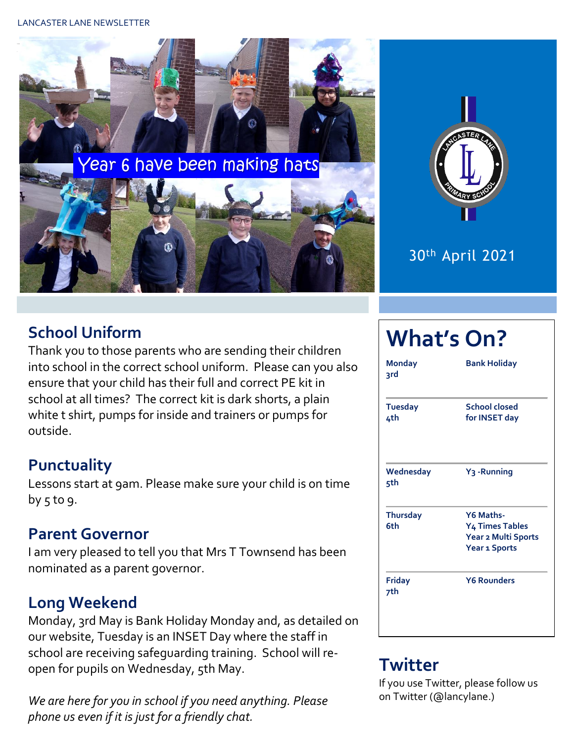



## 30th April 2021

## **School Uniform**

Thank you to those parents who are sending their children into school in the correct school uniform. Please can you also ensure that your child has their full and correct PE kit in school at all times? The correct kit is dark shorts, a plain white t shirt, pumps for inside and trainers or pumps for outside.

## **Punctuality**

Lessons start at 9am. Please make sure your child is on time by  $5$  to 9.

#### **Parent Governor**

I am very pleased to tell you that Mrs T Townsend has been nominated as a parent governor.

## **Long Weekend**

Monday, 3rd May is Bank Holiday Monday and, as detailed on our website, Tuesday is an INSET Day where the staff in school are receiving safeguarding training. School will reopen for pupils on Wednesday, 5th May.

*We are here for you in school if you need anything. Please phone us even if it is just for a friendly chat.* 

# **What's On?**

| <b>Monday</b><br>3rd   | <b>Bank Holiday</b>                                                                     |  |  |  |
|------------------------|-----------------------------------------------------------------------------------------|--|--|--|
| <b>Tuesday</b><br>4th  | School closed<br>for INSET day                                                          |  |  |  |
| Wednesday<br>5th       | Y <sub>3</sub> - Running                                                                |  |  |  |
| <b>Thursday</b><br>6th | Y6 Maths-<br>Y <sub>4</sub> Times Tables<br>Year 2 Multi Sports<br><b>Year 1 Sports</b> |  |  |  |
| <b>Friday</b><br>7th   | <b>Y6 Rounders</b>                                                                      |  |  |  |

## **Twitter**

If you use Twitter, please follow us on Twitter (@lancylane.)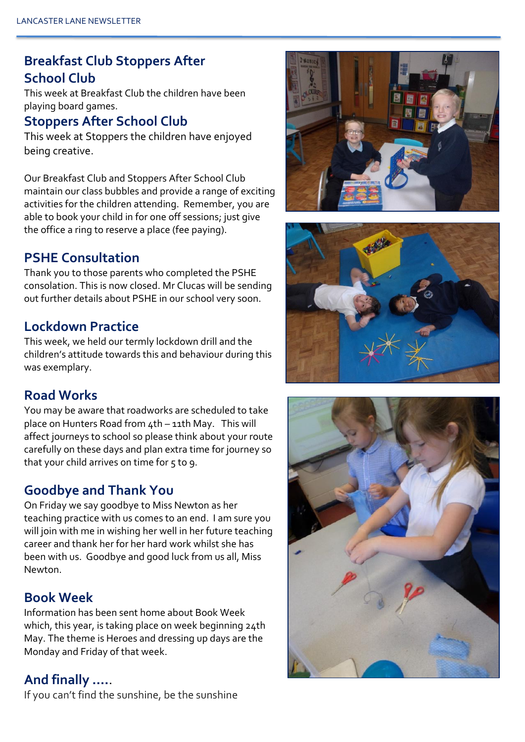#### **Breakfast Club Stoppers After School Club**

This week at Breakfast Club the children have been playing board games.

#### **Stoppers After School Club**

This week at Stoppers the children have enjoyed being creative.

Our Breakfast Club and Stoppers After School Club maintain our class bubbles and provide a range of exciting activities for the children attending. Remember, you are able to book your child in for one off sessions; just give the office a ring to reserve a place (fee paying).

#### **PSHE Consultation**

Thank you to those parents who completed the PSHE consolation. This is now closed. Mr Clucas will be sending out further details about PSHE in our school very soon.

#### **Lockdown Practice**

This week, we held our termly lockdown drill and the children's attitude towards this and behaviour during this was exemplary.

#### **Road Works**

You may be aware that roadworks are scheduled to take place on Hunters Road from 4th – 11th May. This will affect journeys to school so please think about your route carefully on these days and plan extra time for journey so that your child arrives on time for 5 to 9.

#### **Goodbye and Thank You**

On Friday we say goodbye to Miss Newton as her teaching practice with us comes to an end. I am sure you will join with me in wishing her well in her future teaching career and thank her for her hard work whilst she has been with us. Goodbye and good luck from us all, Miss Newton.

#### **Book Week**

Information has been sent home about Book Week which, this year, is taking place on week beginning 24th May. The theme is Heroes and dressing up days are the Monday and Friday of that week.

#### **And finally ….**.

If you can't find the sunshine, be the sunshine